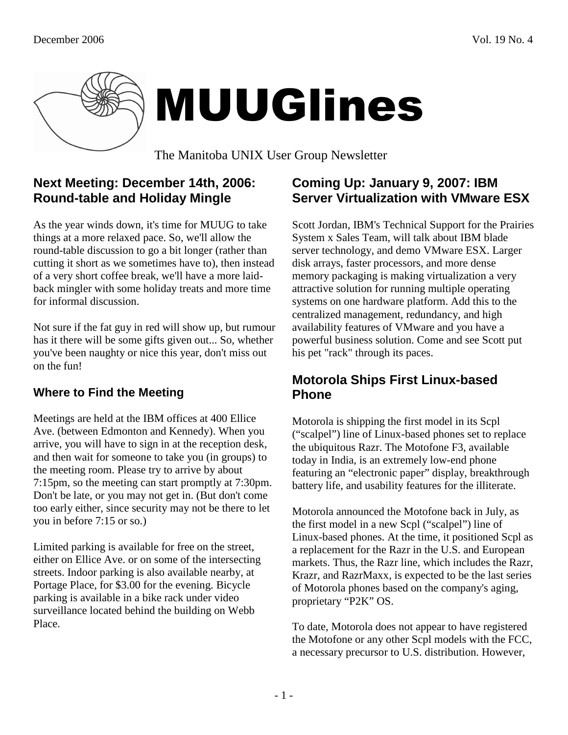

# MUUGlines

The Manitoba UNIX User Group Newsletter

## **Next Meeting: December 14th, 2006: Round-table and Holiday Mingle**

As the year winds down, it's time for MUUG to take things at a more relaxed pace. So, we'll allow the round-table discussion to go a bit longer (rather than cutting it short as we sometimes have to), then instead of a very short coffee break, we'll have a more laidback mingler with some holiday treats and more time for informal discussion.

Not sure if the fat guy in red will show up, but rumour has it there will be some gifts given out... So, whether you've been naughty or nice this year, don't miss out on the fun!

#### **Where to Find the Meeting**

Meetings are held at the IBM offices at 400 Ellice Ave. (between Edmonton and Kennedy). When you arrive, you will have to sign in at the reception desk, and then wait for someone to take you (in groups) to the meeting room. Please try to arrive by about 7:15pm, so the meeting can start promptly at 7:30pm. Don't be late, or you may not get in. (But don't come too early either, since security may not be there to let you in before 7:15 or so.)

Limited parking is available for free on the street, either on Ellice Ave. or on some of the intersecting streets. Indoor parking is also available nearby, at Portage Place, for \$3.00 for the evening. Bicycle parking is available in a bike rack under video surveillance located behind the building on Webb Place.

#### **Coming Up: January 9, 2007: IBM Server Virtualization with VMware ESX**

Scott Jordan, IBM's Technical Support for the Prairies System x Sales Team, will talk about IBM blade server technology, and demo VMware ESX. Larger disk arrays, faster processors, and more dense memory packaging is making virtualization a very attractive solution for running multiple operating systems on one hardware platform. Add this to the centralized management, redundancy, and high availability features of VMware and you have a powerful business solution. Come and see Scott put his pet "rack" through its paces.

#### **Motorola Ships First Linux-based Phone**

Motorola is shipping the first model in its Scpl ("scalpel") line of Linux-based phones set to replace the ubiquitous Razr. The Motofone F3, available today in India, is an extremely low-end phone featuring an "electronic paper" display, breakthrough battery life, and usability features for the illiterate.

Motorola announced the Motofone back in July, as the first model in a new Scpl ("scalpel") line of Linux-based phones. At the time, it positioned Scpl as a replacement for the Razr in the U.S. and European markets. Thus, the Razr line, which includes the Razr, Krazr, and RazrMaxx, is expected to be the last series of Motorola phones based on the company's aging, proprietary "P2K" OS.

To date, Motorola does not appear to have registered the Motofone or any other Scpl models with the FCC, a necessary precursor to U.S. distribution. However,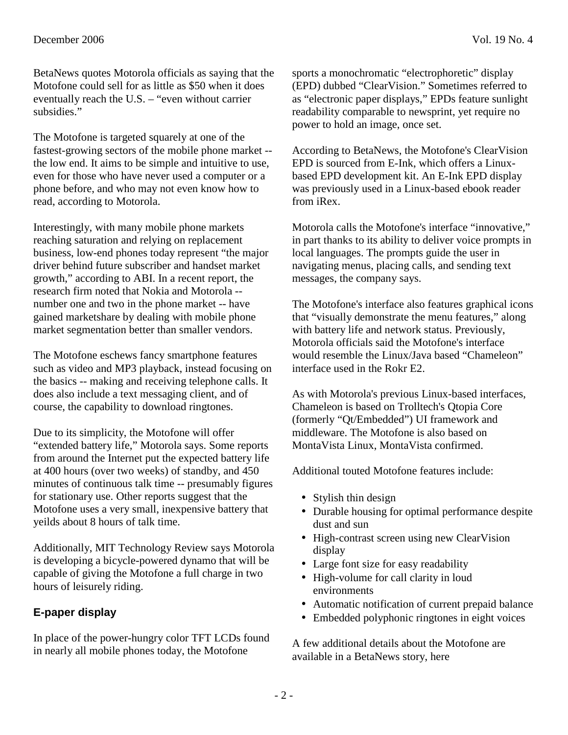BetaNews quotes Motorola officials as saying that the Motofone could sell for as little as \$50 when it does eventually reach the U.S. – "even without carrier subsidies."

The Motofone is targeted squarely at one of the fastest-growing sectors of the mobile phone market - the low end. It aims to be simple and intuitive to use, even for those who have never used a computer or a phone before, and who may not even know how to read, according to Motorola.

Interestingly, with many mobile phone markets reaching saturation and relying on replacement business, low-end phones today represent "the major driver behind future subscriber and handset market growth," according to ABI. In a recent report, the research firm noted that Nokia and Motorola - number one and two in the phone market -- have gained marketshare by dealing with mobile phone market segmentation better than smaller vendors.

The Motofone eschews fancy smartphone features such as video and MP3 playback, instead focusing on the basics -- making and receiving telephone calls. It does also include a text messaging client, and of course, the capability to download ringtones.

Due to its simplicity, the Motofone will offer "extended battery life," Motorola says. Some reports from around the Internet put the expected battery life at 400 hours (over two weeks) of standby, and 450 minutes of continuous talk time -- presumably figures for stationary use. Other reports suggest that the Motofone uses a very small, inexpensive battery that yeilds about 8 hours of talk time.

Additionally, MIT Technology Review says Motorola is developing a bicycle-powered dynamo that will be capable of giving the Motofone a full charge in two hours of leisurely riding.

#### **E-paper display**

In place of the power-hungry color TFT LCDs found in nearly all mobile phones today, the Motofone

According to BetaNews, the Motofone's ClearVision EPD is sourced from E-Ink, which offers a Linuxbased EPD development kit. An E-Ink EPD display was previously used in a Linux-based ebook reader from iRex.

power to hold an image, once set.

Motorola calls the Motofone's interface "innovative," in part thanks to its ability to deliver voice prompts in local languages. The prompts guide the user in navigating menus, placing calls, and sending text messages, the company says.

The Motofone's interface also features graphical icons that "visually demonstrate the menu features," along with battery life and network status. Previously, Motorola officials said the Motofone's interface would resemble the Linux/Java based "Chameleon" interface used in the Rokr E2.

As with Motorola's previous Linux-based interfaces, Chameleon is based on Trolltech's Qtopia Core (formerly "Qt/Embedded") UI framework and middleware. The Motofone is also based on MontaVista Linux, MontaVista confirmed.

Additional touted Motofone features include:

- Stylish thin design
- Durable housing for optimal performance despite dust and sun
- High-contrast screen using new ClearVision display
- Large font size for easy readability
- High-volume for call clarity in loud environments
- Automatic notification of current prepaid balance
- Embedded polyphonic ringtones in eight voices

A few additional details about the Motofone are available in a BetaNews story, here

 $-2-$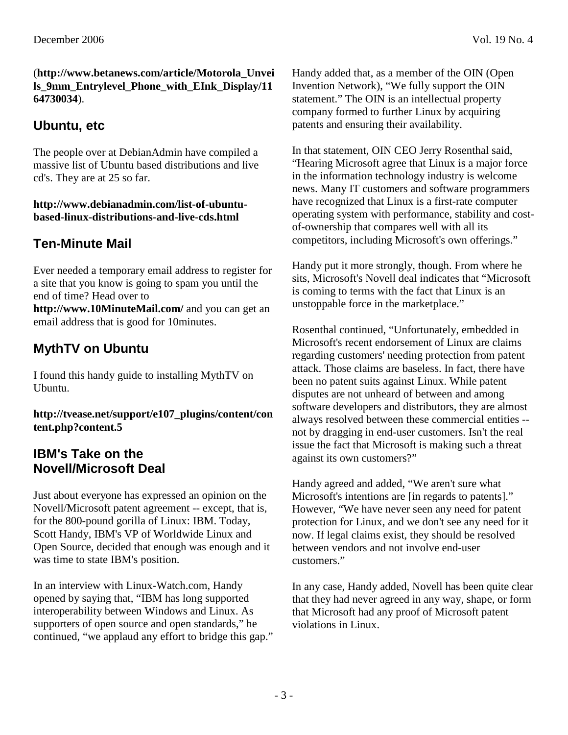#### (**http://www.betanews.com/article/Motorola\_Unvei ls\_9mm\_Entrylevel\_Phone\_with\_EInk\_Display/11 64730034**).

## **Ubuntu, etc**

The people over at DebianAdmin have compiled a massive list of Ubuntu based distributions and live cd's. They are at 25 so far.

#### **http://www.debianadmin.com/list-of-ubuntubased-linux-distributions-and-live-cds.html**

# **Ten-Minute Mail**

Ever needed a temporary email address to register for a site that you know is going to spam you until the end of time? Head over to **http://www.10MinuteMail.com/** and you can get an email address that is good for 10minutes.

# **MythTV on Ubuntu**

I found this handy guide to installing MythTV on Ubuntu.

**http://tvease.net/support/e107\_plugins/content/con tent.php?content.5** 

### **IBM's Take on the Novell/Microsoft Deal**

Just about everyone has expressed an opinion on the Novell/Microsoft patent agreement -- except, that is, for the 800-pound gorilla of Linux: IBM. Today, Scott Handy, IBM's VP of Worldwide Linux and Open Source, decided that enough was enough and it was time to state IBM's position.

In an interview with Linux-Watch.com, Handy opened by saying that, "IBM has long supported interoperability between Windows and Linux. As supporters of open source and open standards," he continued, "we applaud any effort to bridge this gap." Handy added that, as a member of the OIN (Open Invention Network), "We fully support the OIN statement." The OIN is an intellectual property company formed to further Linux by acquiring patents and ensuring their availability.

In that statement, OIN CEO Jerry Rosenthal said, "Hearing Microsoft agree that Linux is a major force in the information technology industry is welcome news. Many IT customers and software programmers have recognized that Linux is a first-rate computer operating system with performance, stability and costof-ownership that compares well with all its competitors, including Microsoft's own offerings."

Handy put it more strongly, though. From where he sits, Microsoft's Novell deal indicates that "Microsoft is coming to terms with the fact that Linux is an unstoppable force in the marketplace."

Rosenthal continued, "Unfortunately, embedded in Microsoft's recent endorsement of Linux are claims regarding customers' needing protection from patent attack. Those claims are baseless. In fact, there have been no patent suits against Linux. While patent disputes are not unheard of between and among software developers and distributors, they are almost always resolved between these commercial entities - not by dragging in end-user customers. Isn't the real issue the fact that Microsoft is making such a threat against its own customers?"

Handy agreed and added, "We aren't sure what Microsoft's intentions are [in regards to patents]." However, "We have never seen any need for patent protection for Linux, and we don't see any need for it now. If legal claims exist, they should be resolved between vendors and not involve end-user customers."

In any case, Handy added, Novell has been quite clear that they had never agreed in any way, shape, or form that Microsoft had any proof of Microsoft patent violations in Linux.